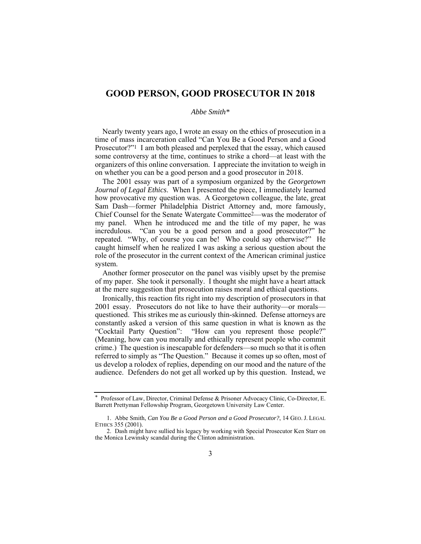## **GOOD PERSON, GOOD PROSECUTOR IN 2018**

## *Abbe Smith\**

Nearly twenty years ago, I wrote an essay on the ethics of prosecution in a time of mass incarceration called "Can You Be a Good Person and a Good Prosecutor?"1 I am both pleased and perplexed that the essay, which caused some controversy at the time, continues to strike a chord—at least with the organizers of this online conversation. I appreciate the invitation to weigh in on whether you can be a good person and a good prosecutor in 2018.

The 2001 essay was part of a symposium organized by the *Georgetown Journal of Legal Ethics*. When I presented the piece, I immediately learned how provocative my question was. A Georgetown colleague, the late, great Sam Dash—former Philadelphia District Attorney and, more famously, Chief Counsel for the Senate Watergate Committee2—was the moderator of my panel. When he introduced me and the title of my paper, he was incredulous. "Can you be a good person and a good prosecutor?" he repeated. "Why, of course you can be! Who could say otherwise?" He caught himself when he realized I was asking a serious question about the role of the prosecutor in the current context of the American criminal justice system.

Another former prosecutor on the panel was visibly upset by the premise of my paper. She took it personally. I thought she might have a heart attack at the mere suggestion that prosecution raises moral and ethical questions.

Ironically, this reaction fits right into my description of prosecutors in that 2001 essay. Prosecutors do not like to have their authority—or morals questioned. This strikes me as curiously thin-skinned. Defense attorneys are constantly asked a version of this same question in what is known as the "Cocktail Party Question": "How can you represent those people?" (Meaning, how can you morally and ethically represent people who commit crime.) The question is inescapable for defenders—so much so that it is often referred to simply as "The Question." Because it comes up so often, most of us develop a rolodex of replies, depending on our mood and the nature of the audience. Defenders do not get all worked up by this question. Instead, we

<sup>\*</sup> Professor of Law, Director, Criminal Defense & Prisoner Advocacy Clinic, Co-Director, E. Barrett Prettyman Fellowship Program, Georgetown University Law Center.

 <sup>1.</sup> Abbe Smith, *Can You Be a Good Person and a Good Prosecutor?*, 14 GEO. J. LEGAL ETHICS 355 (2001).

 <sup>2.</sup> Dash might have sullied his legacy by working with Special Prosecutor Ken Starr on the Monica Lewinsky scandal during the Clinton administration.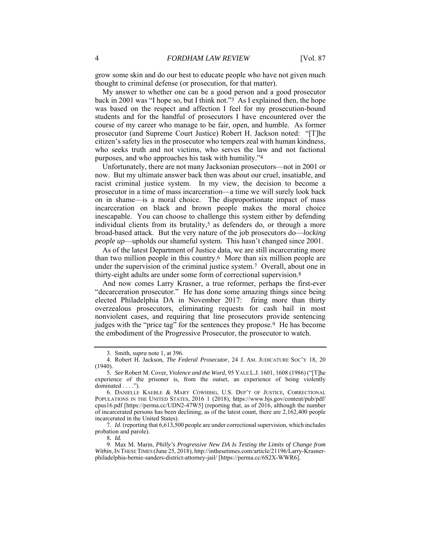grow some skin and do our best to educate people who have not given much thought to criminal defense (or prosecution, for that matter).

My answer to whether one can be a good person and a good prosecutor back in 2001 was "I hope so, but I think not."3 As I explained then, the hope was based on the respect and affection I feel for my prosecution-bound students and for the handful of prosecutors I have encountered over the course of my career who manage to be fair, open, and humble. As former prosecutor (and Supreme Court Justice) Robert H. Jackson noted: "[T]he citizen's safety lies in the prosecutor who tempers zeal with human kindness, who seeks truth and not victims, who serves the law and not factional purposes, and who approaches his task with humility."4

Unfortunately, there are not many Jacksonian prosecutors—not in 2001 or now. But my ultimate answer back then was about our cruel, insatiable, and racist criminal justice system. In my view, the decision to become a prosecutor in a time of mass incarceration—a time we will surely look back on in shame—is a moral choice. The disproportionate impact of mass incarceration on black and brown people makes the moral choice inescapable. You can choose to challenge this system either by defending individual clients from its brutality, $5$  as defenders do, or through a more broad-based attack. But the very nature of the job prosecutors do—*locking people up*—upholds our shameful system. This hasn't changed since 2001.

As of the latest Department of Justice data, we are still incarcerating more than two million people in this country.6 More than six million people are under the supervision of the criminal justice system.7 Overall, about one in thirty-eight adults are under some form of correctional supervision.8

And now comes Larry Krasner, a true reformer, perhaps the first-ever "decarceration prosecutor." He has done some amazing things since being elected Philadelphia DA in November 2017: firing more than thirty overzealous prosecutors, eliminating requests for cash bail in most nonviolent cases, and requiring that line prosecutors provide sentencing judges with the "price tag" for the sentences they propose.9 He has become the embodiment of the Progressive Prosecutor, the prosecutor to watch.

7*. Id.* (reporting that 6,613,500 people are under correctional supervision, which includes probation and parole).

8*. Id.*

 9. Max M. Marin, *Philly's Progressive New DA Is Testing the Limits of Change from Within*, IN THESE TIMES (June 25, 2018), http://inthesetimes.com/article/21196/Larry-Krasnerphiladelphia-bernie-sanders-district-attorney-jail/ [https://perma.cc/6S2X-WWR6].

 <sup>3.</sup> Smith, *supra* note 1, at 396.

 <sup>4.</sup> Robert H. Jackson, *The Federal Prosecutor*, 24 J. AM. JUDICATURE SOC'Y 18, 20 (1940).

<sup>5</sup>*. See* Robert M. Cover, *Violence and the Word*, 95 YALE L.J. 1601, 1608 (1986) ("[T]he experience of the prisoner is, from the outset, an experience of being violently dominated . . . .").

 <sup>6.</sup> DANIELLE KAEBLE & MARY COWHIHG, U.S. DEP'T OF JUSTICE, CORRECTIONAL POPULATIONS IN THE UNITED STATES, 2016 1 (2018), https://www.bjs.gov/content/pub/pdf/ cpus16.pdf [https://perma.cc/UDN2-47W5] (reporting that, as of 2016, although the number of incarcerated persons has been declining, as of the latest count, there are 2,162,400 people incarcerated in the United States).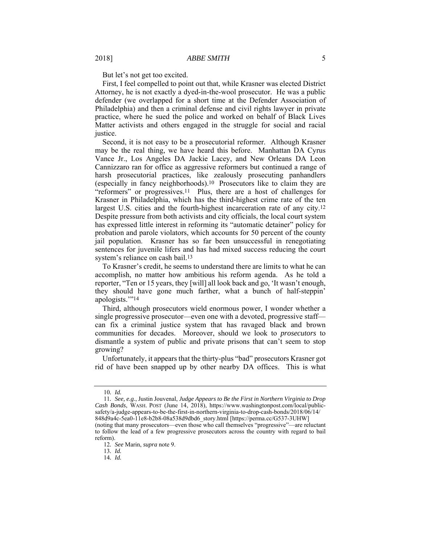But let's not get too excited.

First, I feel compelled to point out that, while Krasner was elected District Attorney, he is not exactly a dyed-in-the-wool prosecutor. He was a public defender (we overlapped for a short time at the Defender Association of Philadelphia) and then a criminal defense and civil rights lawyer in private practice, where he sued the police and worked on behalf of Black Lives Matter activists and others engaged in the struggle for social and racial justice.

Second, it is not easy to be a prosecutorial reformer. Although Krasner may be the real thing, we have heard this before. Manhattan DA Cyrus Vance Jr., Los Angeles DA Jackie Lacey, and New Orleans DA Leon Cannizzaro ran for office as aggressive reformers but continued a range of harsh prosecutorial practices, like zealously prosecuting panhandlers (especially in fancy neighborhoods).10 Prosecutors like to claim they are "reformers" or progressives.11 Plus, there are a host of challenges for Krasner in Philadelphia, which has the third-highest crime rate of the ten largest U.S. cities and the fourth-highest incarceration rate of any city.<sup>12</sup> Despite pressure from both activists and city officials, the local court system has expressed little interest in reforming its "automatic detainer" policy for probation and parole violators, which accounts for 50 percent of the county jail population. Krasner has so far been unsuccessful in renegotiating sentences for juvenile lifers and has had mixed success reducing the court system's reliance on cash bail.13

To Krasner's credit, he seems to understand there are limits to what he can accomplish, no matter how ambitious his reform agenda. As he told a reporter, "Ten or 15 years, they [will] all look back and go, 'It wasn't enough, they should have gone much farther, what a bunch of half-steppin' apologists.'"14

Third, although prosecutors wield enormous power, I wonder whether a single progressive prosecutor—even one with a devoted, progressive staff can fix a criminal justice system that has ravaged black and brown communities for decades. Moreover, should we look to *prosecutors* to dismantle a system of public and private prisons that can't seem to stop growing?

Unfortunately, it appears that the thirty-plus "bad" prosecutors Krasner got rid of have been snapped up by other nearby DA offices. This is what

<sup>10</sup>*. Id.*

<sup>11</sup>*. See, e.g.*, Justin Jouvenal, *Judge Appears to Be the First in Northern Virginia to Drop Cash Bonds*, WASH. POST (June 14, 2018), https://www.washingtonpost.com/local/publicsafety/a-judge-appears-to-be-the-first-in-northern-virginia-to-drop-cash-bonds/2018/06/14/ 848d9a4c-5ea0-11e8-b2b8-08a538d9dbd6\_story.html [https://perma.cc/G537-3UHW]

<sup>(</sup>noting that many prosecutors—even those who call themselves "progressive"—are reluctant to follow the lead of a few progressive prosecutors across the country with regard to bail reform).

<sup>12</sup>*. See* Marin, *supra* note 9.

<sup>13</sup>*. Id.*

<sup>14</sup>*. Id.*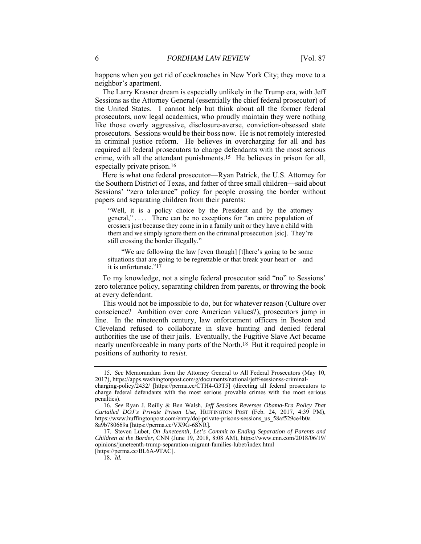happens when you get rid of cockroaches in New York City; they move to a neighbor's apartment.

The Larry Krasner dream is especially unlikely in the Trump era, with Jeff Sessions as the Attorney General (essentially the chief federal prosecutor) of the United States. I cannot help but think about all the former federal prosecutors, now legal academics, who proudly maintain they were nothing like those overly aggressive, disclosure-averse, conviction-obsessed state prosecutors. Sessions would be their boss now. He is not remotely interested in criminal justice reform. He believes in overcharging for all and has required all federal prosecutors to charge defendants with the most serious crime, with all the attendant punishments.15 He believes in prison for all, especially private prison.16

Here is what one federal prosecutor—Ryan Patrick, the U.S. Attorney for the Southern District of Texas, and father of three small children—said about Sessions' "zero tolerance" policy for people crossing the border without papers and separating children from their parents:

"Well, it is a policy choice by the President and by the attorney general," . . . . There can be no exceptions for "an entire population of crossers just because they come in in a family unit or they have a child with them and we simply ignore them on the criminal prosecution [sic]. They're still crossing the border illegally."

 "We are following the law [even though] [t]here's going to be some situations that are going to be regrettable or that break your heart or—and it is unfortunate."17

To my knowledge, not a single federal prosecutor said "no" to Sessions' zero tolerance policy, separating children from parents, or throwing the book at every defendant.

This would not be impossible to do, but for whatever reason (Culture over conscience? Ambition over core American values?), prosecutors jump in line. In the nineteenth century, law enforcement officers in Boston and Cleveland refused to collaborate in slave hunting and denied federal authorities the use of their jails. Eventually, the Fugitive Slave Act became nearly unenforceable in many parts of the North.18 But it required people in positions of authority to *resist*.

18*. Id.*

<sup>15</sup>*. See* Memorandum from the Attorney General to All Federal Prosecutors (May 10, 2017), https://apps.washingtonpost.com/g/documents/national/jeff-sessionss-criminal-

charging-policy/2432/ [https://perma.cc/CTH4-G3T5] (directing all federal prosecutors to charge federal defendants with the most serious provable crimes with the most serious penalties).

<sup>16</sup>*. See* Ryan J. Reilly & Ben Walsh, *Jeff Sessions Reverses Obama-Era Policy That Curtailed DOJ's Private Prison Use,* HUFFINGTON POST (Feb. 24, 2017, 4:39 PM), https://www.huffingtonpost.com/entry/doj-private-prisons-sessions\_us\_58af529ce4b0a 8a9b780669a [https://perma.cc/VX9G-6SNR]*.*

 <sup>17.</sup> Steven Lubet, *On Juneteenth, Let's Commit to Ending Separation of Parents and Children at the Border*, CNN (June 19, 2018, 8:08 AM), https://www.cnn.com/2018/06/19/ opinions/juneteenth-trump-separation-migrant-families-lubet/index.html [https://perma.cc/BL6A-9TAC].